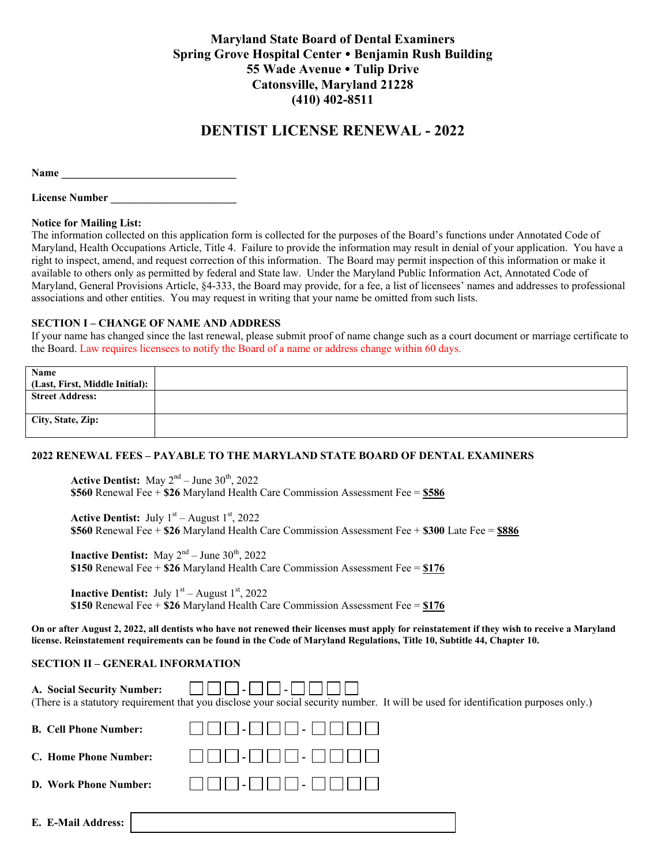# **Maryland State Board of Dental Examiners Spring Grove Hospital Center Benjamin Rush Building 55 Wade Avenue Tulip Drive Catonsville, Maryland 21228 (410) 402-8511**

# **DENTIST LICENSE RENEWAL - 2022**

**Name \_\_\_\_\_\_\_\_\_\_\_\_\_\_\_\_\_\_\_\_\_\_\_\_\_\_\_\_\_\_\_\_** 

License Number

#### **Notice for Mailing List:**

The information collected on this application form is collected for the purposes of the Board's functions under Annotated Code of Maryland, Health Occupations Article, Title 4. Failure to provide the information may result in denial of your application. You have a right to inspect, amend, and request correction of this information. The Board may permit inspection of this information or make it available to others only as permitted by federal and State law. Under the Maryland Public Information Act, Annotated Code of Maryland, General Provisions Article, §4-333, the Board may provide, for a fee, a list of licensees' names and addresses to professional associations and other entities. You may request in writing that your name be omitted from such lists.

#### **SECTION I – CHANGE OF NAME AND ADDRESS**

If your name has changed since the last renewal, please submit proof of name change such as a court document or marriage certificate to the Board. Law requires licensees to notify the Board of a name or address change within 60 days.

| Name                           |  |
|--------------------------------|--|
| (Last, First, Middle Initial): |  |
| <b>Street Address:</b>         |  |
| City, State, Zip:              |  |

## **2022 RENEWAL FEES – PAYABLE TO THE MARYLAND STATE BOARD OF DENTAL EXAMINERS**

**Active Dentist:** May  $2^{nd}$  – June  $30^{th}$ , 2022 **\$560** Renewal Fee + **\$26** Maryland Health Care Commission Assessment Fee = **\$586**

**Active Dentist:** July  $1<sup>st</sup>$  – August  $1<sup>st</sup>$ , 2022 **\$560** Renewal Fee + **\$26** Maryland Health Care Commission Assessment Fee + **\$300** Late Fee = **\$886**

**Inactive Dentist:** May  $2<sup>nd</sup> - June 30<sup>th</sup>$ , 2022 **\$150** Renewal Fee + **\$26** Maryland Health Care Commission Assessment Fee = **\$176** 

**Inactive Dentist:** July  $1<sup>st</sup>$  – August  $1<sup>st</sup>$ , 2022 **\$150** Renewal Fee + **\$26** Maryland Health Care Commission Assessment Fee = **\$176** 

**On or after August 2, 2022, all dentists who have not renewed their licenses must apply for reinstatement if they wish to receive a Maryland license. Reinstatement requirements can be found in the Code of Maryland Regulations, Title 10, Subtitle 44, Chapter 10.** 

#### **SECTION II – GENERAL INFORMATION**

| A. Social Security Number:   | $\blacksquare$<br>(There is a statutory requirement that you disclose your social security number. It will be used for identification purposes only.) |
|------------------------------|-------------------------------------------------------------------------------------------------------------------------------------------------------|
| <b>B.</b> Cell Phone Number: |                                                                                                                                                       |
| C. Home Phone Number:        |                                                                                                                                                       |
| D. Work Phone Number:        | $-$          _                                                                                                                                        |
| E. E-Mail Address:           |                                                                                                                                                       |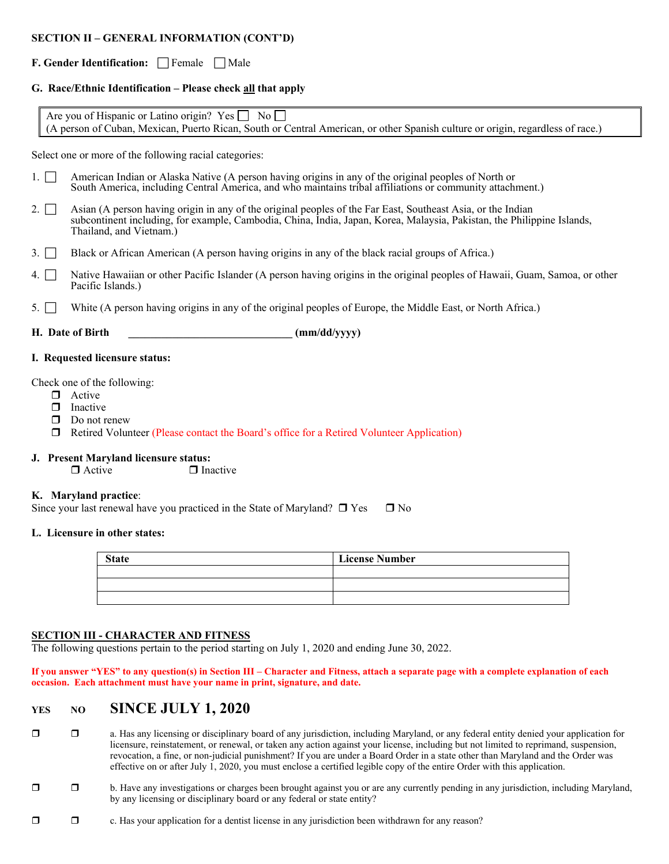#### **SECTION II – GENERAL INFORMATION (CONT'D)**

## **F. Gender Identification:** Female Male

#### **G. Race/Ethnic Identification – Please check all that apply**

| Are you of Hispanic or Latino origin? Yes □ No □                                                                               |  |
|--------------------------------------------------------------------------------------------------------------------------------|--|
| (A person of Cuban, Mexican, Puerto Rican, South or Central American, or other Spanish culture or origin, regardless of race.) |  |

Select one or more of the following racial categories:

- 1. <sup>American Indian or Alaska Native</sup> (A person having origins in any of the original peoples of North or South America, including Central America, and who maintains tribal affiliations or community attachment.)
- 2.  $\Box$  Asian (A person having origin in any of the original peoples of the Far East, Southeast Asia, or the Indian subcontinent including, for example, Cambodia, China, India, Japan, Korea, Malaysia, Pakistan, the Philippine Islands, Thailand, and Vietnam.)
- 3.  $\Box$  Black or African American (A person having origins in any of the black racial groups of Africa.)
- 4. Native Hawaiian or other Pacific Islander (A person having origins in the original peoples of Hawaii, Guam, Samoa, or other Pacific Islands.)
- 5.  $\Box$  White (A person having origins in any of the original peoples of Europe, the Middle East, or North Africa.)

|  | H. Date of Birth |  | (mm/dd/yyyy) |
|--|------------------|--|--------------|
|--|------------------|--|--------------|

#### **I. Requested licensure status:**

Check one of the following:

- **n** Active
- $\Box$  Inactive
- $\Box$  Do not renew
- Retired Volunteer (Please contact the Board's office for a Retired Volunteer Application)

# **J. Present Maryland licensure status:**<br>  $\Box$  Active  $\Box$  In:

 $\Box$  Inactive

#### **K. Maryland practice**:

Since your last renewal have you practiced in the State of Maryland?  $\Box$  Yes  $\Box$  No

#### **L. Licensure in other states:**

| <b>License Number</b> |  |  |
|-----------------------|--|--|
|                       |  |  |
|                       |  |  |
|                       |  |  |

#### **SECTION III - CHARACTER AND FITNESS**

The following questions pertain to the period starting on July 1, 2020 and ending June 30, 2022.

**If you answer "YES" to any question(s) in Section III – Character and Fitness, attach a separate page with a complete explanation of each occasion. Each attachment must have your name in print, signature, and date.** 

# **YES NO SINCE JULY 1, 2020**

- $\Box$  a. Has any licensing or disciplinary board of any jurisdiction, including Maryland, or any federal entity denied your application for licensure, reinstatement, or renewal, or taken any action against your license, including but not limited to reprimand, suspension, revocation, a fine, or non-judicial punishment? If you are under a Board Order in a state other than Maryland and the Order was effective on or after July 1, 2020, you must enclose a certified legible copy of the entire Order with this application.
- $\Box$  b. Have any investigations or charges been brought against you or are any currently pending in any jurisdiction, including Maryland, by any licensing or disciplinary board or any federal or state entity?
- $\Box$   $\Box$  c. Has your application for a dentist license in any jurisdiction been withdrawn for any reason?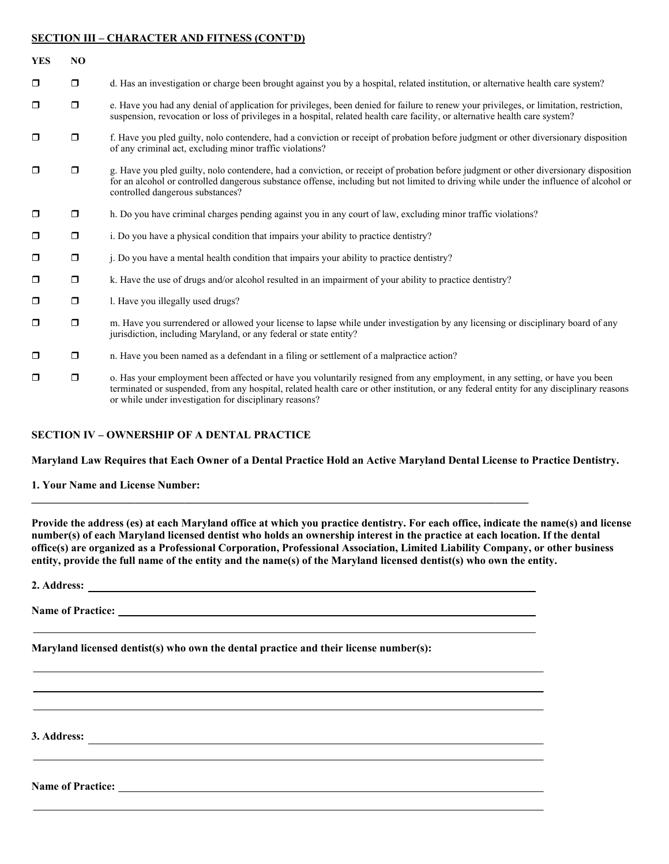#### **SECTION III – CHARACTER AND FITNESS (CONT'D)**

| <b>YES</b> | N <sub>O</sub> |                                                                                                                                                                                                                                                                                                                                   |
|------------|----------------|-----------------------------------------------------------------------------------------------------------------------------------------------------------------------------------------------------------------------------------------------------------------------------------------------------------------------------------|
| $\Box$     | $\Box$         | d. Has an investigation or charge been brought against you by a hospital, related institution, or alternative health care system?                                                                                                                                                                                                 |
| $\Box$     | $\Box$         | e. Have you had any denial of application for privileges, been denied for failure to renew your privileges, or limitation, restriction,<br>suspension, revocation or loss of privileges in a hospital, related health care facility, or alternative health care system?                                                           |
| $\Box$     | $\Box$         | f. Have you pled guilty, nolo contendere, had a conviction or receipt of probation before judgment or other diversionary disposition<br>of any criminal act, excluding minor traffic violations?                                                                                                                                  |
| $\Box$     | $\Box$         | g. Have you pled guilty, nolo contendere, had a conviction, or receipt of probation before judgment or other diversionary disposition<br>for an alcohol or controlled dangerous substance offense, including but not limited to driving while under the influence of alcohol or<br>controlled dangerous substances?               |
| $\Box$     | $\Box$         | h. Do you have criminal charges pending against you in any court of law, excluding minor traffic violations?                                                                                                                                                                                                                      |
| $\Box$     | $\Box$         | i. Do you have a physical condition that impairs your ability to practice dentistry?                                                                                                                                                                                                                                              |
| $\Box$     | $\Box$         | i. Do you have a mental health condition that impairs your ability to practice dentistry?                                                                                                                                                                                                                                         |
| $\Box$     | $\Box$         | k. Have the use of drugs and/or alcohol resulted in an impairment of your ability to practice dentistry?                                                                                                                                                                                                                          |
| $\Box$     | $\Box$         | 1. Have you illegally used drugs?                                                                                                                                                                                                                                                                                                 |
| $\Box$     | $\Box$         | m. Have you surrendered or allowed your license to lapse while under investigation by any licensing or disciplinary board of any<br>jurisdiction, including Maryland, or any federal or state entity?                                                                                                                             |
| $\Box$     | $\Box$         | n. Have you been named as a defendant in a filing or settlement of a malpractice action?                                                                                                                                                                                                                                          |
| $\Box$     | $\Box$         | o. Has your employment been affected or have you voluntarily resigned from any employment, in any setting, or have you been<br>terminated or suspended, from any hospital, related health care or other institution, or any federal entity for any disciplinary reasons<br>or while under investigation for disciplinary reasons? |

#### **SECTION IV – OWNERSHIP OF A DENTAL PRACTICE**

**Maryland Law Requires that Each Owner of a Dental Practice Hold an Active Maryland Dental License to Practice Dentistry.** 

**1. Your Name and License Number:** 

**Provide the address (es) at each Maryland office at which you practice dentistry. For each office, indicate the name(s) and license number(s) of each Maryland licensed dentist who holds an ownership interest in the practice at each location. If the dental office(s) are organized as a Professional Corporation, Professional Association, Limited Liability Company, or other business entity, provide the full name of the entity and the name(s) of the Maryland licensed dentist(s) who own the entity.** 

**2. Address:** 

**Name of Practice:** *Name* **of Practice:** *Name* **of Practice:** *Name O* 

**Maryland licensed dentist(s) who own the dental practice and their license number(s):** 

**3. Address:** 

**Name of Practice:**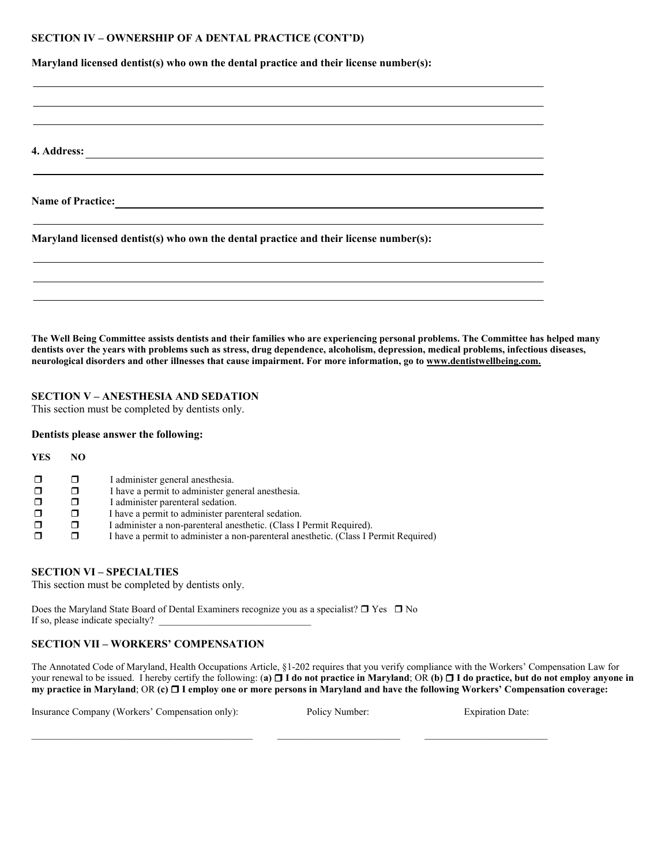#### **SECTION IV – OWNERSHIP OF A DENTAL PRACTICE (CONT'D)**

**Maryland licensed dentist(s) who own the dental practice and their license number(s):** 

**4. Address:** 

Name of Practice: <u>**William Community Community Community Community** Community Community Community Community Community Community Community Community Community Community Community Community Community Community Community Com</u>

**Maryland licensed dentist(s) who own the dental practice and their license number(s):** 

**The Well Being Committee assists dentists and their families who are experiencing personal problems. The Committee has helped many dentists over the years with problems such as stress, drug dependence, alcoholism, depression, medical problems, infectious diseases, neurological disorders and other illnesses that cause impairment. For more information, go to www.dentistwellbeing.com.** 

## **SECTION V – ANESTHESIA AND SEDATION**

This section must be completed by dentists only.

#### **Dentists please answer the following:**

| YES | NO.    |                                                                                      |
|-----|--------|--------------------------------------------------------------------------------------|
|     | $\Box$ | I administer general anesthesia.                                                     |
|     | $\Box$ | I have a permit to administer general anesthesia.                                    |
|     |        | I administer parenteral sedation.                                                    |
|     |        | I have a permit to administer parenteral sedation.                                   |
|     |        | I administer a non-parenteral anesthetic. (Class I Permit Required).                 |
|     |        | I have a permit to administer a non-parenteral anesthetic. (Class I Permit Required) |

#### **SECTION VI – SPECIALTIES**

This section must be completed by dentists only.

Does the Maryland State Board of Dental Examiners recognize you as a specialist?  $\Box$  Yes  $\Box$  No If so, please indicate specialty? \_\_\_\_\_\_\_\_\_\_\_\_\_\_\_\_\_\_\_\_\_\_\_\_\_\_\_\_\_\_\_

## **SECTION VII – WORKERS' COMPENSATION**

The Annotated Code of Maryland, Health Occupations Article, §1-202 requires that you verify compliance with the Workers' Compensation Law for your renewal to be issued. I hereby certify the following: (**a) I do not practice in Maryland**; OR **(b) I do practice, but do not employ anyone in my practice in Maryland**; OR **(c) I employ one or more persons in Maryland and have the following Workers' Compensation coverage:** 

Insurance Company (Workers' Compensation only): Policy Number: Expiration Date: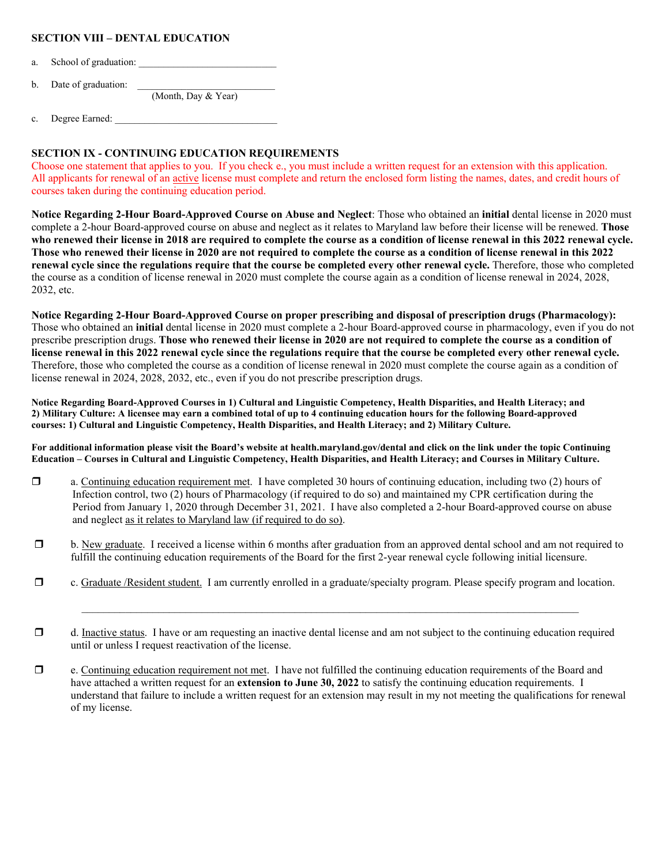## **SECTION VIII – DENTAL EDUCATION**

- a. School of graduation: \_\_\_\_\_\_\_\_\_\_\_\_\_\_\_\_\_\_\_\_\_\_\_\_\_\_\_\_
- b. Date of graduation:

(Month, Day & Year)

c. Degree Earned: \_\_\_\_\_\_\_\_\_\_\_\_\_\_\_\_\_\_\_\_\_\_\_\_\_\_\_\_\_\_\_\_\_

## **SECTION IX - CONTINUING EDUCATION REQUIREMENTS**

Choose one statement that applies to you. If you check e., you must include a written request for an extension with this application. All applicants for renewal of an active license must complete and return the enclosed form listing the names, dates, and credit hours of courses taken during the continuing education period.

**Notice Regarding 2-Hour Board-Approved Course on Abuse and Neglect**: Those who obtained an **initial** dental license in 2020 must complete a 2-hour Board-approved course on abuse and neglect as it relates to Maryland law before their license will be renewed. **Those who renewed their license in 2018 are required to complete the course as a condition of license renewal in this 2022 renewal cycle. Those who renewed their license in 2020 are not required to complete the course as a condition of license renewal in this 2022 renewal cycle since the regulations require that the course be completed every other renewal cycle.** Therefore, those who completed the course as a condition of license renewal in 2020 must complete the course again as a condition of license renewal in 2024, 2028, 2032, etc.

**Notice Regarding 2-Hour Board-Approved Course on proper prescribing and disposal of prescription drugs (Pharmacology):** Those who obtained an **initial** dental license in 2020 must complete a 2-hour Board-approved course in pharmacology, even if you do not prescribe prescription drugs. **Those who renewed their license in 2020 are not required to complete the course as a condition of license renewal in this 2022 renewal cycle since the regulations require that the course be completed every other renewal cycle.** Therefore, those who completed the course as a condition of license renewal in 2020 must complete the course again as a condition of license renewal in 2024, 2028, 2032, etc., even if you do not prescribe prescription drugs.

**Notice Regarding Board-Approved Courses in 1) Cultural and Linguistic Competency, Health Disparities, and Health Literacy; and 2) Military Culture: A licensee may earn a combined total of up to 4 continuing education hours for the following Board-approved courses: 1) Cultural and Linguistic Competency, Health Disparities, and Health Literacy; and 2) Military Culture.** 

**For additional information please visit the Board's website at health.maryland.gov/dental and click on the link under the topic Continuing Education – Courses in Cultural and Linguistic Competency, Health Disparities, and Health Literacy; and Courses in Military Culture.** 

- $\Box$  a. Continuing education requirement met. I have completed 30 hours of continuing education, including two (2) hours of Infection control, two (2) hours of Pharmacology (if required to do so) and maintained my CPR certification during the Period from January 1, 2020 through December 31, 2021. I have also completed a 2-hour Board-approved course on abuse and neglect as it relates to Maryland law (if required to do so).
- b. New graduate. I received a license within 6 months after graduation from an approved dental school and am not required to fulfill the continuing education requirements of the Board for the first 2-year renewal cycle following initial licensure.
- c. Graduate /Resident student. I am currently enrolled in a graduate/specialty program. Please specify program and location.
- $\Box$  d. Inactive status. I have or am requesting an inactive dental license and am not subject to the continuing education required until or unless I request reactivation of the license.
- $\Box$  e. Continuing education requirement not met. I have not fulfilled the continuing education requirements of the Board and have attached a written request for an **extension to June 30, 2022** to satisfy the continuing education requirements. I understand that failure to include a written request for an extension may result in my not meeting the qualifications for renewal of my license.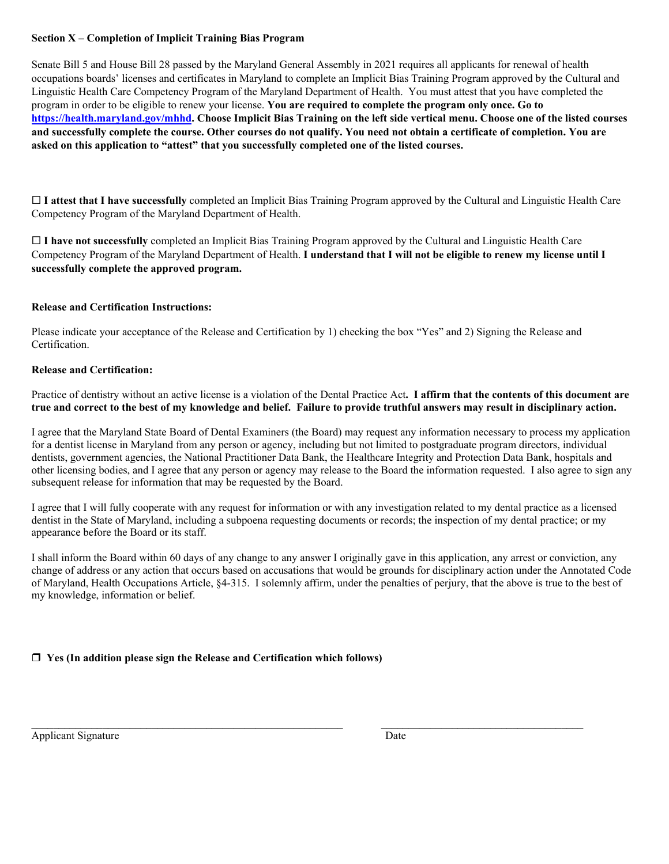## **Section X – Completion of Implicit Training Bias Program**

Senate Bill 5 and House Bill 28 passed by the Maryland General Assembly in 2021 requires all applicants for renewal of health occupations boards' licenses and certificates in Maryland to complete an Implicit Bias Training Program approved by the Cultural and Linguistic Health Care Competency Program of the Maryland Department of Health. You must attest that you have completed the program in order to be eligible to renew your license. **You are required to complete the program only once. Go to https://health.maryland.gov/mhhd. Choose Implicit Bias Training on the left side vertical menu. Choose one of the listed courses and successfully complete the course. Other courses do not qualify. You need not obtain a certificate of completion. You are asked on this application to "attest" that you successfully completed one of the listed courses.** 

 **I attest that I have successfully** completed an Implicit Bias Training Program approved by the Cultural and Linguistic Health Care Competency Program of the Maryland Department of Health.

 **I have not successfully** completed an Implicit Bias Training Program approved by the Cultural and Linguistic Health Care Competency Program of the Maryland Department of Health. **I understand that I will not be eligible to renew my license until I successfully complete the approved program.**

## **Release and Certification Instructions:**

Please indicate your acceptance of the Release and Certification by 1) checking the box "Yes" and 2) Signing the Release and Certification.

## **Release and Certification:**

Practice of dentistry without an active license is a violation of the Dental Practice Act**. I affirm that the contents of this document are true and correct to the best of my knowledge and belief. Failure to provide truthful answers may result in disciplinary action.** 

I agree that the Maryland State Board of Dental Examiners (the Board) may request any information necessary to process my application for a dentist license in Maryland from any person or agency, including but not limited to postgraduate program directors, individual dentists, government agencies, the National Practitioner Data Bank, the Healthcare Integrity and Protection Data Bank, hospitals and other licensing bodies, and I agree that any person or agency may release to the Board the information requested. I also agree to sign any subsequent release for information that may be requested by the Board.

I agree that I will fully cooperate with any request for information or with any investigation related to my dental practice as a licensed dentist in the State of Maryland, including a subpoena requesting documents or records; the inspection of my dental practice; or my appearance before the Board or its staff.

I shall inform the Board within 60 days of any change to any answer I originally gave in this application, any arrest or conviction, any change of address or any action that occurs based on accusations that would be grounds for disciplinary action under the Annotated Code of Maryland, Health Occupations Article, §4-315. I solemnly affirm, under the penalties of perjury, that the above is true to the best of my knowledge, information or belief.

 $\mathcal{L}_\text{max} = \frac{1}{2} \sum_{i=1}^{n} \frac{1}{2} \sum_{i=1}^{n} \frac{1}{2} \sum_{i=1}^{n} \frac{1}{2} \sum_{i=1}^{n} \frac{1}{2} \sum_{i=1}^{n} \frac{1}{2} \sum_{i=1}^{n} \frac{1}{2} \sum_{i=1}^{n} \frac{1}{2} \sum_{i=1}^{n} \frac{1}{2} \sum_{i=1}^{n} \frac{1}{2} \sum_{i=1}^{n} \frac{1}{2} \sum_{i=1}^{n} \frac{1}{2} \sum_{i=1}^{n} \frac{1$ 

## **Yes (In addition please sign the Release and Certification which follows)**

Applicant Signature Date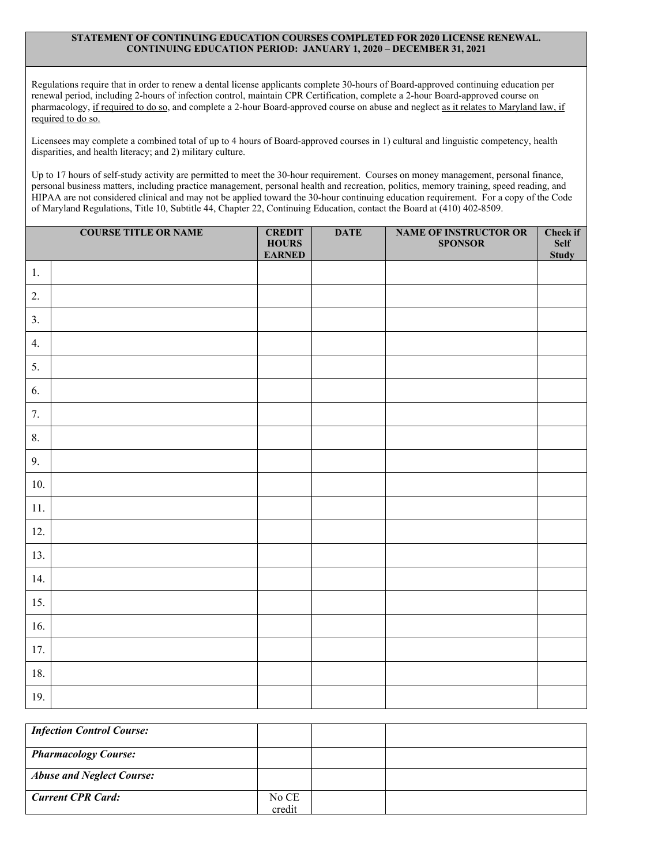#### **STATEMENT OF CONTINUING EDUCATION COURSES COMPLETED FOR 2020 LICENSE RENEWAL. CONTINUING EDUCATION PERIOD: JANUARY 1, 2020 – DECEMBER 31, 2021**

Regulations require that in order to renew a dental license applicants complete 30-hours of Board-approved continuing education per renewal period, including 2-hours of infection control, maintain CPR Certification, complete a 2-hour Board-approved course on pharmacology, if required to do so, and complete a 2-hour Board-approved course on abuse and neglect as it relates to Maryland law, if required to do so.

Licensees may complete a combined total of up to 4 hours of Board-approved courses in 1) cultural and linguistic competency, health disparities, and health literacy; and 2) military culture.

Up to 17 hours of self-study activity are permitted to meet the 30-hour requirement. Courses on money management, personal finance, personal business matters, including practice management, personal health and recreation, politics, memory training, speed reading, and HIPAA are not considered clinical and may not be applied toward the 30-hour continuing education requirement. For a copy of the Code of Maryland Regulations, Title 10, Subtitle 44, Chapter 22, Continuing Education, contact the Board at (410) 402-8509.

|       | <b>COURSE TITLE OR NAME</b> | <b>CREDIT</b><br><b>HOURS</b><br><b>EARNED</b> | <b>DATE</b> | <b>NAME OF INSTRUCTOR OR</b><br><b>SPONSOR</b> | Check if<br><b>Self</b><br><b>Study</b> |
|-------|-----------------------------|------------------------------------------------|-------------|------------------------------------------------|-----------------------------------------|
| 1.    |                             |                                                |             |                                                |                                         |
| 2.    |                             |                                                |             |                                                |                                         |
| 3.    |                             |                                                |             |                                                |                                         |
| 4.    |                             |                                                |             |                                                |                                         |
| 5.    |                             |                                                |             |                                                |                                         |
| 6.    |                             |                                                |             |                                                |                                         |
| 7.    |                             |                                                |             |                                                |                                         |
| 8.    |                             |                                                |             |                                                |                                         |
| 9.    |                             |                                                |             |                                                |                                         |
| 10.   |                             |                                                |             |                                                |                                         |
| $11.$ |                             |                                                |             |                                                |                                         |
| 12.   |                             |                                                |             |                                                |                                         |
| 13.   |                             |                                                |             |                                                |                                         |
| 14.   |                             |                                                |             |                                                |                                         |
| 15.   |                             |                                                |             |                                                |                                         |
| 16.   |                             |                                                |             |                                                |                                         |
| 17.   |                             |                                                |             |                                                |                                         |
| 18.   |                             |                                                |             |                                                |                                         |
| 19.   |                             |                                                |             |                                                |                                         |

| <b>Infection Control Course:</b> |        |  |
|----------------------------------|--------|--|
| <b>Pharmacology Course:</b>      |        |  |
| <b>Abuse and Neglect Course:</b> |        |  |
| <b>Current CPR Card:</b>         | No CE  |  |
|                                  | credit |  |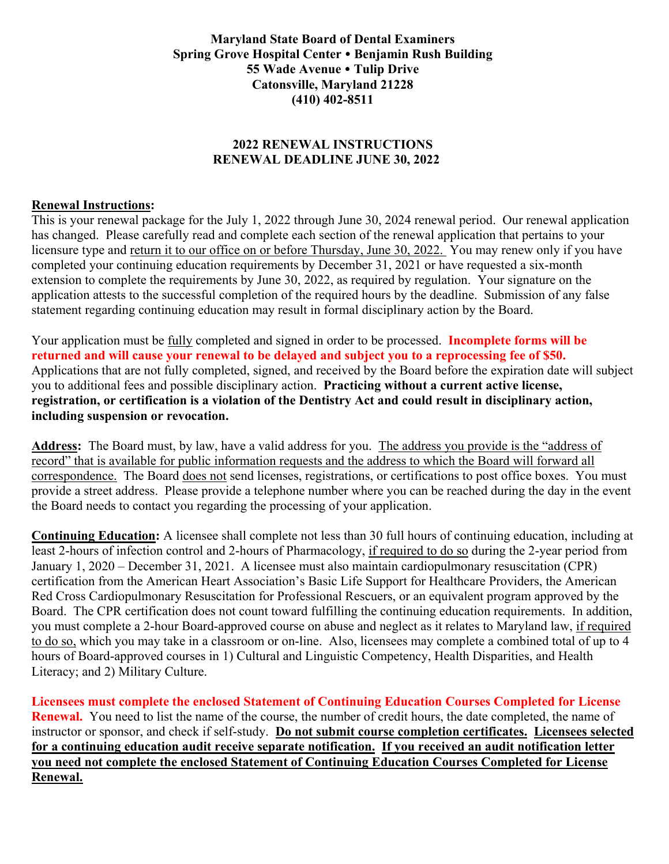# **Maryland State Board of Dental Examiners Spring Grove Hospital Center Benjamin Rush Building 55 Wade Avenue Tulip Drive Catonsville, Maryland 21228 (410) 402-8511**

# **2022 RENEWAL INSTRUCTIONS RENEWAL DEADLINE JUNE 30, 2022**

# **Renewal Instructions:**

This is your renewal package for the July 1, 2022 through June 30, 2024 renewal period. Our renewal application has changed. Please carefully read and complete each section of the renewal application that pertains to your licensure type and return it to our office on or before Thursday, June 30, 2022. You may renew only if you have completed your continuing education requirements by December 31, 2021 or have requested a six-month extension to complete the requirements by June 30, 2022, as required by regulation. Your signature on the application attests to the successful completion of the required hours by the deadline. Submission of any false statement regarding continuing education may result in formal disciplinary action by the Board.

Your application must be fully completed and signed in order to be processed. **Incomplete forms will be returned and will cause your renewal to be delayed and subject you to a reprocessing fee of \$50.** Applications that are not fully completed, signed, and received by the Board before the expiration date will subject you to additional fees and possible disciplinary action. **Practicing without a current active license, registration, or certification is a violation of the Dentistry Act and could result in disciplinary action, including suspension or revocation.**

**Address:** The Board must, by law, have a valid address for you. The address you provide is the "address of record" that is available for public information requests and the address to which the Board will forward all correspondence. The Board does not send licenses, registrations, or certifications to post office boxes. You must provide a street address. Please provide a telephone number where you can be reached during the day in the event the Board needs to contact you regarding the processing of your application.

**Continuing Education:** A licensee shall complete not less than 30 full hours of continuing education, including at least 2-hours of infection control and 2-hours of Pharmacology, if required to do so during the 2-year period from January 1, 2020 – December 31, 2021. A licensee must also maintain cardiopulmonary resuscitation (CPR) certification from the American Heart Association's Basic Life Support for Healthcare Providers, the American Red Cross Cardiopulmonary Resuscitation for Professional Rescuers, or an equivalent program approved by the Board. The CPR certification does not count toward fulfilling the continuing education requirements. In addition, you must complete a 2-hour Board-approved course on abuse and neglect as it relates to Maryland law, if required to do so, which you may take in a classroom or on-line. Also, licensees may complete a combined total of up to 4 hours of Board-approved courses in 1) Cultural and Linguistic Competency, Health Disparities, and Health Literacy; and 2) Military Culture.

**Licensees must complete the enclosed Statement of Continuing Education Courses Completed for License Renewal.** You need to list the name of the course, the number of credit hours, the date completed, the name of instructor or sponsor, and check if self-study. **Do not submit course completion certificates. Licensees selected for a continuing education audit receive separate notification. If you received an audit notification letter you need not complete the enclosed Statement of Continuing Education Courses Completed for License Renewal.**